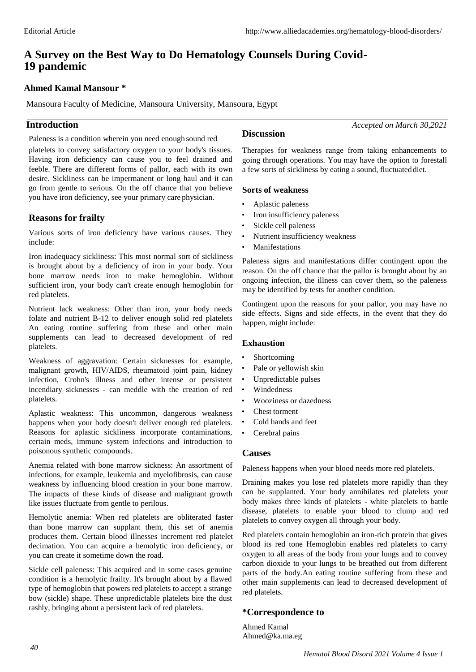# **A Survey on the Best Way to Do Hematology Counsels During Covid-19 pandemic**

## **Ahmed Kamal Mansour \***

Mansoura Faculty of Medicine, Mansoura University, Mansoura, Egypt

## **Introduction**

Paleness is a condition wherein you need enough sound red **Discussion**

platelets to convey satisfactory oxygen to your body's tissues. Having iron deficiency can cause you to feel drained and feeble. There are different forms of pallor, each with its own desire. Sickliness can be impermanent or long haul and it can go from gentle to serious. On the off chance that you believe you have iron deficiency, see your primary care physician.

## **Reasons for frailty**

Various sorts of iron deficiency have various causes. They include:

Iron inadequacy sickliness: This most normal sort of sickliness is brought about by a deficiency of iron in your body. Your bone marrow needs iron to make hemoglobin. Without sufficient iron, your body can't create enough hemoglobin for red platelets.

Nutrient lack weakness: Other than iron, your body needs folate and nutrient B-12 to deliver enough solid red platelets An eating routine suffering from these and other main supplements can lead to decreased development of red platelets.

Weakness of aggravation: Certain sicknesses for example, malignant growth, HIV/AIDS, rheumatoid joint pain, kidney infection, Crohn's illness and other intense or persistent incendiary sicknesses - can meddle with the creation of red platelets.

Aplastic weakness: This uncommon, dangerous weakness happens when your body doesn't deliver enough red platelets. Reasons for aplastic sickliness incorporate contaminations, certain meds, immune system infections and introduction to poisonous synthetic compounds.

Anemia related with bone marrow sickness: An assortment of infections, for example, leukemia and myelofibrosis, can cause weakness by influencing blood creation in your bone marrow. The impacts of these kinds of disease and malignant growth like issues fluctuate from gentle to perilous.

Hemolytic anemia: When red platelets are obliterated faster than bone marrow can supplant them, this set of anemia produces them. Certain blood illnesses increment red platelet decimation. You can acquire a hemolytic iron deficiency, or you can create it sometime down the road.

Sickle cell paleness: This acquired and in some cases genuine condition is a hemolytic frailty. It's brought about by a flawed type of hemoglobin that powers red platelets to accept a strange bow (sickle) shape. These unpredictable platelets bite the dust rashly, bringing about a persistent lack of red platelets.

*Accepted on March 30,2021*

Therapies for weakness range from taking enhancements to going through operations. You may have the option to forestall a few sorts of sickliness by eating a sound, fluctuated diet.

## **Sorts of weakness**

- Aplastic paleness
- Iron insufficiency paleness
- Sickle cell paleness
- Nutrient insufficiency weakness
- **Manifestations**

Paleness signs and manifestations differ contingent upon the reason. On the off chance that the pallor is brought about by an ongoing infection, the illness can cover them, so the paleness may be identified by tests for another condition.

Contingent upon the reasons for your pallor, you may have no side effects. Signs and side effects, in the event that they do happen, might include:

## **Exhaustion**

- **Shortcoming**
- Pale or yellowish skin
- Unpredictable pulses
- Windedness
- Wooziness or dazedness
- Chest torment
- Cold hands and feet
- Cerebral pains

## **Causes**

Paleness happens when your blood needs more red platelets.

Draining makes you lose red platelets more rapidly than they can be supplanted. Your body annihilates red platelets your body makes three kinds of platelets - white platelets to battle disease, platelets to enable your blood to clump and red platelets to convey oxygen all through your body.

Red platelets contain hemoglobin an iron-rich protein that gives blood its red tone Hemoglobin enables red platelets to carry oxygen to all areas of the body from your lungs and to convey carbon dioxide to your lungs to be breathed out from different parts of the body.An eating routine suffering from these and other main supplements can lead to decreased development of red platelets.

## **\*Correspondence to**

Ahmed Kamal [Ahmed@ka.ma.eg](mailto:Ahmed@ka.ma.eg)